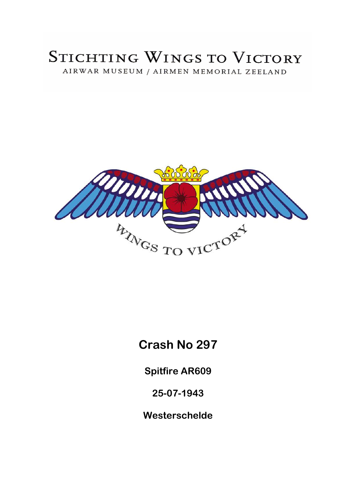# STICHTING WINGS TO VICTORY AIRWAR MUSEUM / AIRMEN MEMORIAL ZEELAND



# **Crash No 297**

**Spitfire AR609** 

**25-07-1943** 

**Westerschelde**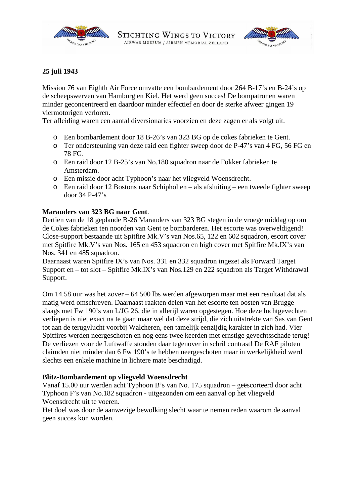



## **25 juli 1943**

Mission 76 van Eighth Air Force omvatte een bombardement door 264 B-17's en B-24's op de scheepswerven van Hamburg en Kiel. Het werd geen succes! De bompatronen waren minder geconcentreerd en daardoor minder effectief en door de sterke afweer gingen 19 viermotorigen verloren.

Ter afleiding waren een aantal diversionaries voorzien en deze zagen er als volgt uit.

- o Een bombardement door 18 B-26's van 323 BG op de cokes fabrieken te Gent.
- o Ter ondersteuning van deze raid een fighter sweep door de P-47's van 4 FG, 56 FG en 78 FG.
- o Een raid door 12 B-25's van No.180 squadron naar de Fokker fabrieken te Amsterdam.
- o Een missie door acht Typhoon's naar het vliegveld Woensdrecht.
- o Een raid door 12 Bostons naar Schiphol en als afsluiting een tweede fighter sweep door 34 P-47's

#### **Marauders van 323 BG naar Gent**.

Dertien van de 18 geplande B-26 Marauders van 323 BG stegen in de vroege middag op om de Cokes fabrieken ten noorden van Gent te bombarderen. Het escorte was overweldigend! Close-support bestaande uit Spitfire Mk.V's van Nos.65, 122 en 602 squadron, escort cover met Spitfire Mk.V's van Nos. 165 en 453 squadron en high cover met Spitfire Mk.IX's van Nos. 341 en 485 squadron.

Daarnaast waren Spitfire IX's van Nos. 331 en 332 squadron ingezet als Forward Target Support en – tot slot – Spitfire Mk.IX's van Nos.129 en 222 squadron als Target Withdrawal Support.

Om 14.58 uur was het zover – 64 500 lbs werden afgeworpen maar met een resultaat dat als matig werd omschreven. Daarnaast raakten delen van het escorte ten oosten van Brugge slaags met Fw 190's van I./JG 26, die in allerijl waren opgestegen. Hoe deze luchtgevechten verliepen is niet exact na te gaan maar wel dat deze strijd, die zich uitstrekte van Sas van Gent tot aan de terugvlucht voorbij Walcheren, een tamelijk eenzijdig karakter in zich had. Vier Spitfires werden neergeschoten en nog eens twee keerden met ernstige gevechtsschade terug! De verliezen voor de Luftwaffe stonden daar tegenover in schril contrast! De RAF piloten claimden niet minder dan 6 Fw 190's te hebben neergeschoten maar in werkelijkheid werd slechts een enkele machine in lichtere mate beschadigd.

#### **Blitz-Bombardement op vliegveld Woensdrecht**

Vanaf 15.00 uur werden acht Typhoon B's van No. 175 squadron – geëscorteerd door acht Typhoon F's van No.182 squadron - uitgezonden om een aanval op het vliegveld Woensdrecht uit te voeren.

Het doel was door de aanwezige bewolking slecht waar te nemen reden waarom de aanval geen succes kon worden.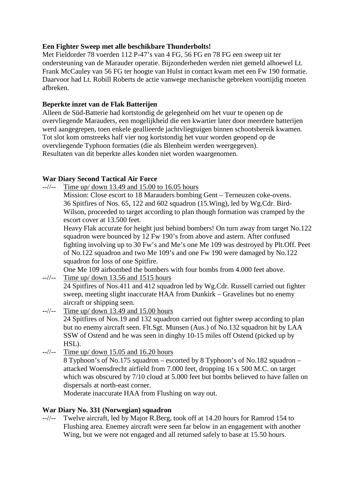# **Een Fighter Sweep met alle beschikbare Thunderbolts!**

Met Fieldorder 78 voerden 112 P-47's van 4 FG, 56 FG en 78 FG een sweep uit ter ondersteuning van de Marauder operatie. Bijzonderheden werden niet gemeld alhoewel Lt. Frank McCauley van 56 FG ter hoogte van Hulst in contact kwam met een Fw 190 formatie. Daarvoor had Lt. Robill Roberts de actie vanwege mechanische gebreken voortijdig moeten afbreken.

## **Beperkte inzet van de Flak Batterijen**

Alleen de Süd-Batterie had kortstondig de gelegenheid om het vuur te openen op de overvliegende Marauders, een mogelijkheid die een kwartier later door meerdere batterijen werd aangegrepen, toen enkele geallieerde jachtvliegtuigen binnen schootsbereik kwamen. Tot slot kom omstreeks half vier nog kortstondig het vuur worden geopend op de overvliegende Typhoon formaties (die als Blenheim werden weergegeven). Resultaten van dit beperkte alles konden niet worden waargenomen.

# **War Diary Second Tactical Air Force**

 $-$ -//-- Time up/ down 13.49 and 15.00 to 16.05 hours

Mission: Close escort to 18 Marauders bombing Gent – Terneuzen coke-ovens. 36 Spitfires of Nos. 65, 122 and 602 squadron (15.Wing), led by Wg.Cdr. Bird-Wilson, proceeded to target according to plan though formation was cramped by the escort cover at 13.500 feet.

Heavy Flak accurate for height just behind bombers! On turn away from target No.122 squadron were bounced by 12 Fw 190's from above and astern. After confused fighting involving up to 30 Fw's and Me's one Me 109 was destroyed by Plt.Off. Peet of No.122 squadron and two Me 109's and one Fw 190 were damaged by No.122 squadron for loss of one Spitfire.

One Me 109 airbombed the bombers with four bombs from 4.000 feet above.

--//-- Time up/ down 13.56 and 1515 hours

24 Spitfires of Nos.411 and 412 squadron led by Wg.Cdr. Russell carried out fighter sweep, meeting slight inaccurate HAA from Dunkirk – Gravelines but no enemy aircraft or shipping seen.

- $-\frac{1}{\sqrt{2}}$  Time up/ down 13.49 and 15.00 hours 24 Spitfires of Nos.19 and 132 squadron carried out fighter sweep according to plan but no enemy aircraft seen. Flt.Sgt. Munsen (Aus.) of No.132 squadron hit by LAA
	- SSW of Ostend and he was seen in dinghy 10-15 miles off Ostend (picked up by HSL).
- $-$ //-- Time up/ down 15.05 and 16.20 hours

8 Typhoon's of No.175 squadron – escorted by 8 Typhoon's of No.182 squadron – attacked Woensdrecht airfield from 7.000 feet, dropping 16 x 500 M.C. on target which was obscured by 7/10 cloud at 5.000 feet but bombs believed to have fallen on dispersals at north-east corner.

Moderate inaccurate HAA from Flushing on way out.

# **War Diary No. 331 (Norwegian) squadron**

--//-- Twelve aircraft, led by Major R.Berg, took off at 14.20 hours for Ramrod 154 to Flushing area. Enemey aircraft were seen far below in an engagement with another Wing, but we were not engaged and all returned safely to base at 15.50 hours.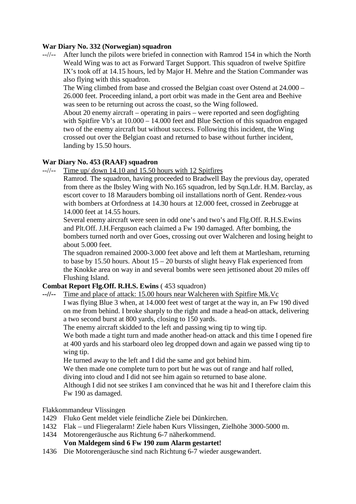#### **War Diary No. 332 (Norwegian) squadron**

--//-- After lunch the pilots were briefed in connection with Ramrod 154 in which the North Weald Wing was to act as Forward Target Support. This squadron of twelve Spitfire IX's took off at 14.15 hours, led by Major H. Mehre and the Station Commander was also flying with this squadron.

 The Wing climbed from base and crossed the Belgian coast over Ostend at 24.000 – 26.000 feet. Proceeding inland, a port orbit was made in the Gent area and Beehive was seen to be returning out across the coast, so the Wing followed.

 About 20 enemy aircraft – operating in pairs – were reported and seen dogfighting with Spitfire Vb's at  $10.000 - 14.000$  feet and Blue Section of this squadron engaged two of the enemy aircraft but without success. Following this incident, the Wing crossed out over the Belgian coast and returned to base without further incident, landing by 15.50 hours.

## **War Diary No. 453 (RAAF) squadron**

--//-- Time up/ down 14.10 and 15.50 hours with 12 Spitfires

 Ramrod. The squadron, having proceeded to Bradwell Bay the previous day, operated from there as the Ibsley Wing with No.165 squadron, led by Sqn.Ldr. H.M. Barclay, as escort cover to 18 Marauders bombing oil installations north of Gent. Rendez-vous with bombers at Orfordness at 14.30 hours at 12.000 feet, crossed in Zeebrugge at 14.000 feet at 14.55 hours.

 Several enemy aircraft were seen in odd one's and two's and Flg.Off. R.H.S.Ewins and Plt.Off. J.H.Ferguson each claimed a Fw 190 damaged. After bombing, the bombers turned north and over Goes, crossing out over Walcheren and losing height to about 5.000 feet.

 The squadron remained 2000-3.000 feet above and left them at Martlesham, returning to base by 15.50 hours. About 15 – 20 bursts of slight heavy Flak experienced from the Knokke area on way in and several bombs were seen jettisoned about 20 miles off Flushing Island.

## **Combat Report Flg.Off. R.H.S. Ewins** ( 453 squadron)

**--//--** Time and place of attack: 15.00 hours near Walcheren with Spitfire Mk.Vc

I was flying Blue 3 when, at 14.000 feet west of target at the way in, an Fw 190 dived on me from behind. I broke sharply to the right and made a head-on attack, delivering a two second burst at 800 yards, closing to 150 yards.

The enemy aircraft skidded to the left and passing wing tip to wing tip.

We both made a tight turn and made another head-on attack and this time I opened fire at 400 yards and his starboard oleo leg dropped down and again we passed wing tip to wing tip.

He turned away to the left and I did the same and got behind him.

 We then made one complete turn to port but he was out of range and half rolled, diving into cloud and I did not see him again so returned to base alone.

 Although I did not see strikes I am convinced that he was hit and I therefore claim this Fw 190 as damaged.

#### Flakkommandeur Vlissingen

- 1429 Fluko Gent meldet viele feindliche Ziele bei Dünkirchen.
- 1432 Flak und Fliegeralarm! Ziele haben Kurs Vlissingen, Zielhöhe 3000-5000 m.
- 1434 Motorengeräusche aus Richtung 6-7 näherkommend.

## **Von Maldegem sind 6 Fw 190 zum Alarm gestartet!**

1436 Die Motorengeräusche sind nach Richtung 6-7 wieder ausgewandert.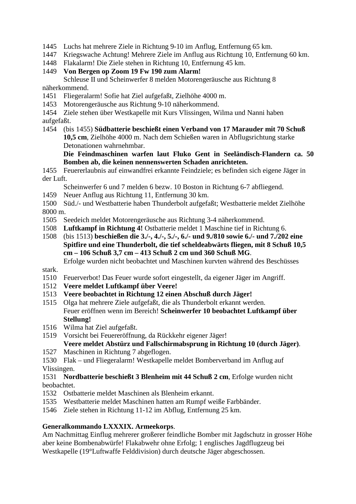1445 Luchs hat mehrere Ziele in Richtung 9-10 im Anflug, Entfernung 65 km.

- 1447 Kriegswache Achtung! Mehrere Ziele im Anflug aus Richtung 10, Entfernung 60 km.
- 1448 Flakalarm! Die Ziele stehen in Richtung 10, Entfernung 45 km.
- 1449 **Von Bergen op Zoom 19 Fw 190 zum Alarm!** Schleuse II und Scheinwerfer 8 melden Motorengeräusche aus Richtung 8

näherkommend.

- 1451 Fliegeralarm! Sofie hat Ziel aufgefaßt, Zielhöhe 4000 m.
- 1453 Motorengeräusche aus Richtung 9-10 näherkommend.
- 1454 Ziele stehen über Westkapelle mit Kurs Vlissingen, Wilma und Nanni haben aufgefaßt.
- 1454 (bis 1455) **Südbatterie beschießt einen Verband von 17 Marauder mit 70 Schuß 10,5 cm**, Zielhöhe 4000 m. Nach dem Schießen waren in Abflugsrichtung starke Detonationen wahrnehmbar.
	- **Die Feindmaschinen warfen laut Fluko Gent in Seeländisch-Flandern ca. 50 Bomben ab, die keinen nennenswerten Schaden anrichteten.**

1455 Feuererlaubnis auf einwandfrei erkannte Feindziele; es befinden sich eigene Jäger in der Luft.

- Scheinwerfer 6 und 7 melden 6 bezw. 10 Boston in Richtung 6-7 abfliegend.
- 1459 Neuer Anflug aus Richtung 11, Entfernung 30 km.
- 1500 Süd./- und Westbatterie haben Thunderbolt aufgefaßt; Westbatterie meldet Zielhöhe 8000 m.
- 1505 Seedeich meldet Motorengeräusche aus Richtung 3-4 näherkommend.
- 1508 **Luftkampf in Richtung 4!** Ostbatterie meldet 1 Maschine tief in Richtung 6.
- 1508 (bis 1513) **beschießen die 3./-, 4./-, 5./-, 6./- und 9./810 sowie 6./- und 7./202 eine Spitfire und eine Thunderbolt, die tief scheldeabwärts fliegen, mit 8 Schuß 10,5 cm – 106 Schuß 3,7 cm – 413 Schuß 2 cm und 360 Schuß MG**.

 Erfolge wurden nicht beobachtet und Maschinen kurvten während des Beschüsses stark.

- 1510 Feuerverbot! Das Feuer wurde sofort eingestellt, da eigener Jäger im Angriff.
- 1512 **Veere meldet Luftkampf über Veere!**
- 1513 **Veere beobachtet in Richtung 12 einen Abschuß durch Jäger!**
- 1515 Olga hat mehrere Ziele aufgefaßt, die als Thunderbolt erkannt werden. Feuer eröffnen wenn im Bereich! **Scheinwerfer 10 beobachtet Luftkampf über Stellung!**
- 1516 Wilma hat Ziel aufgefaßt.
- 1519 Vorsicht bei Feuereröffnung, da Rückkehr eigener Jäger! **Veere meldet Abstürz und Fallschirmabsprung in Richtung 10 (durch Jäger)**.
- 1527 Maschinen in Richtung 7 abgeflogen.
- 1530 Flak und Fliegeralarm! Westkapelle meldet Bomberverband im Anflug auf Vlissingen.

1531 **Nordbatterie beschießt 3 Blenheim mit 44 Schuß 2 cm**, Erfolge wurden nicht beobachtet.

- 1532 Ostbatterie meldet Maschinen als Blenheim erkannt.
- 1535 Westbatterie meldet Maschinen hatten am Rumpf weiße Farbbänder.
- 1546 Ziele stehen in Richtung 11-12 im Abflug, Entfernung 25 km.

## **Generalkommando LXXXIX. Armeekorps**.

Am Nachmittag Einflug mehrerer großerer feindliche Bomber mit Jagdschutz in grosser Höhe aber keine Bombenabwürfe! Flakabwehr ohne Erfolg; 1 englisches Jagdflugzeug bei Westkapelle (19°Luftwaffe Felddivision) durch deutsche Jäger abgeschossen.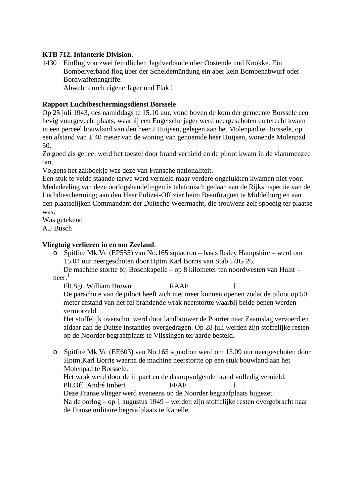# **KTB 712. Infanterie Division**.

1430 Einflug von zwei feindlichen Jagdverbände über Oostende und Knokke. Ein Bomberverband flog über der Scheldemündung ein aber kein Bombenabwurf oder Bordwaffenangriffe.

Abwehr durch eigene Jäger und Flak !

## **Rapport Luchtbeschermingsdienst Borssele**

Op 25 juli 1943, des namiddags te 15.10 uur, vond boven de kom der gemeente Borssele een hevig vuurgevecht plaats, waarbij een Engelsche jager werd neergeschoten en terecht kwam in een perceel bouwland van den heer J.Huijsen, gelegen aan het Molenpad te Borssele, op een afstand van ± 40 meter van de woning van genoemde heer Huijsen, wonende Molenpad 50.

Zo goed als geheel werd het toestel door brand vernield en de piloot kwam in de vlammenzee om.

Volgens het zakboekje was deze van Fransche nationaliteit.

Een stuk te velde staande tarwe werd vernield maar verdere ongelukken kwamen niet voor. Mededeeling van deze oorlogshandelingen is telefonisch gedaan aan de Rijksinspectie van de Luchtbescherming; aan den Heer Polizei-Offizier beim Beauftragten te Middelburg en aan den plaatselijken Commandant der Duitsche Weermacht, die trouwens zelf spoedig ter plaatse was.

Was getekend A.J.Busch

## **Vliegtuig verliezen in en om Zeeland**.

o Spitfire Mk.Vc (EP555) van No.165 squadron – basis Ibsley Hampshire – werd om 15.04 uur neergeschoten door Hptm.Karl Borris van Stab I./JG 26.

De machine stortte bij Boschkapelle – op 8 kilometer ten noordwesten van Hulst –  $n^1$ 

Flt.Sgt. William Brown RAAF † De parachute van de piloot heeft zich niet meer kunnen openen zodat de piloot op 50 meter afstand van het fel brandende wrak neerstortte waarbij beide benen werden vermorzeld.

Het stoffelijk overschot werd door landbouwer de Poorter naar Zaamslag vervoerd en aldaar aan de Duitse instanties overgedragen. Op 28 juli werden zijn stoffelijke resten op de Noorder begraafplaats te Vlissingen ter aarde besteld.

o Spitfire Mk.Vc (EE603) van No.165 squadron werd om 15.09 uur neergeschoten door Hptm.Karl Borris waarna de machine neerstortte op een stuk bouwland aan het Molenpad te Borssele.

Het wrak werd door de impact en de daaropvolgende brand volledig vernield. Plt.Off. André Imbert **FFAF** 

Deze Franse vlieger werd eveneens op de Noorder begraafplaats bijgezet.

Na de oorlog – op 1 augustus 1949 – werden zijn stoffelijke resten overgebracht naar de Franse militaire begraafplaats te Kapelle.